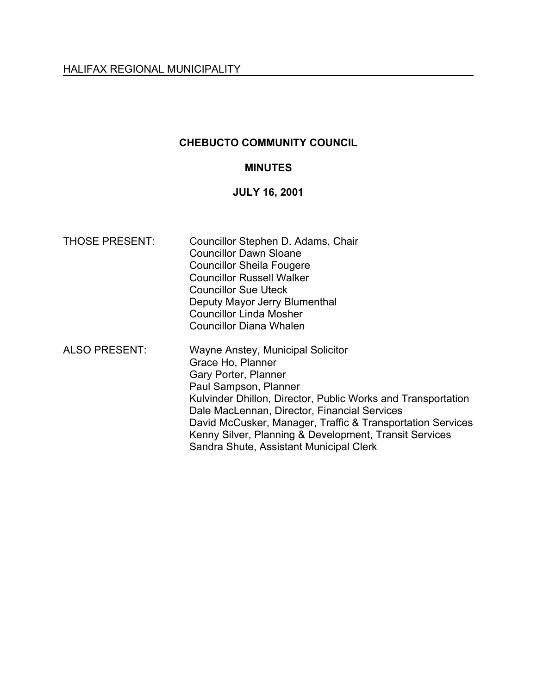# **CHEBUCTO COMMUNITY COUNCIL**

# **MINUTES**

# **JULY 16, 2001**

| <b>THOSE PRESENT:</b> | Councillor Stephen D. Adams, Chair<br><b>Councillor Dawn Sloane</b><br><b>Councillor Sheila Fougere</b><br><b>Councillor Russell Walker</b><br><b>Councillor Sue Uteck</b><br>Deputy Mayor Jerry Blumenthal<br><b>Councillor Linda Mosher</b><br><b>Councillor Diana Whalen</b>                                                                                                            |
|-----------------------|--------------------------------------------------------------------------------------------------------------------------------------------------------------------------------------------------------------------------------------------------------------------------------------------------------------------------------------------------------------------------------------------|
| <b>ALSO PRESENT:</b>  | Wayne Anstey, Municipal Solicitor<br>Grace Ho, Planner<br>Gary Porter, Planner<br>Paul Sampson, Planner<br>Kulvinder Dhillon, Director, Public Works and Transportation<br>Dale MacLennan, Director, Financial Services<br>David McCusker, Manager, Traffic & Transportation Services<br>Kenny Silver, Planning & Development, Transit Services<br>Sandra Shute, Assistant Municipal Clerk |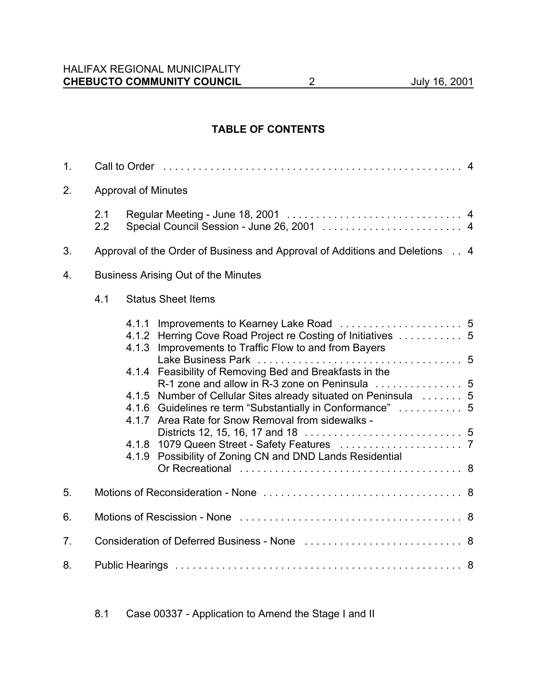# **TABLE OF CONTENTS**

| 1. |                                            | Call to Order (and the contract of the contract of the contract of the contract of the Call to Order (4                                                                               |  |  |  |
|----|--------------------------------------------|---------------------------------------------------------------------------------------------------------------------------------------------------------------------------------------|--|--|--|
| 2. | <b>Approval of Minutes</b>                 |                                                                                                                                                                                       |  |  |  |
|    | 2.1<br>2.2                                 | Special Council Session - June 26, 2001  4                                                                                                                                            |  |  |  |
| 3. |                                            | Approval of the Order of Business and Approval of Additions and Deletions . 4                                                                                                         |  |  |  |
| 4. | <b>Business Arising Out of the Minutes</b> |                                                                                                                                                                                       |  |  |  |
|    | 4.1                                        | <b>Status Sheet Items</b>                                                                                                                                                             |  |  |  |
|    |                                            | 4.1.1<br>4.1.2 Herring Cove Road Project re Costing of Initiatives  5<br>Improvements to Traffic Flow to and from Bayers<br>4.1.3                                                     |  |  |  |
|    |                                            | 4.1.4 Feasibility of Removing Bed and Breakfasts in the                                                                                                                               |  |  |  |
|    |                                            | Number of Cellular Sites already situated on Peninsula  5<br>4.1.5<br>4.1.6 Guidelines re term "Substantially in Conformance"  5<br>4.1.7 Area Rate for Snow Removal from sidewalks - |  |  |  |
|    |                                            | Possibility of Zoning CN and DND Lands Residential<br>4.1.9                                                                                                                           |  |  |  |
|    |                                            |                                                                                                                                                                                       |  |  |  |
| 5. |                                            |                                                                                                                                                                                       |  |  |  |
| 6. |                                            |                                                                                                                                                                                       |  |  |  |
| 7. |                                            |                                                                                                                                                                                       |  |  |  |
| 8. |                                            |                                                                                                                                                                                       |  |  |  |

8.1 Case 00337 - Application to Amend the Stage I and II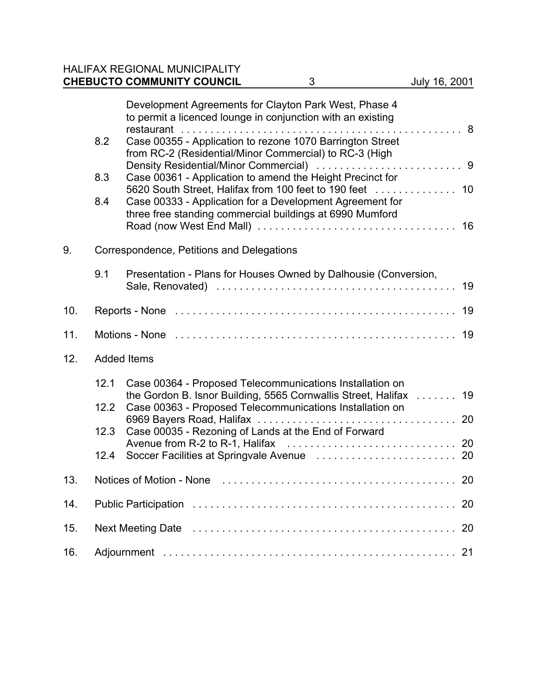# HALIFAX REGIONAL MUNICIPALITY **CHEBUCTO COMMUNITY COUNCIL** 3 July 16, 2001

|     | 8.2<br>8.3<br>8.4                                                                                              | Development Agreements for Clayton Park West, Phase 4<br>to permit a licenced lounge in conjunction with an existing<br>Case 00355 - Application to rezone 1070 Barrington Street<br>from RC-2 (Residential/Minor Commercial) to RC-3 (High<br>Case 00361 - Application to amend the Height Precinct for<br>Case 00333 - Application for a Development Agreement for<br>three free standing commercial buildings at 6990 Mumford |    |  |
|-----|----------------------------------------------------------------------------------------------------------------|----------------------------------------------------------------------------------------------------------------------------------------------------------------------------------------------------------------------------------------------------------------------------------------------------------------------------------------------------------------------------------------------------------------------------------|----|--|
| 9.  | Correspondence, Petitions and Delegations                                                                      |                                                                                                                                                                                                                                                                                                                                                                                                                                  |    |  |
|     | 9.1                                                                                                            | Presentation - Plans for Houses Owned by Dalhousie (Conversion,                                                                                                                                                                                                                                                                                                                                                                  | 19 |  |
| 10. | 19                                                                                                             |                                                                                                                                                                                                                                                                                                                                                                                                                                  |    |  |
| 11. | Motions - None experiences in the contract of the contract of the contract of the contract of the Motions - 19 |                                                                                                                                                                                                                                                                                                                                                                                                                                  |    |  |
| 12. | <b>Added Items</b>                                                                                             |                                                                                                                                                                                                                                                                                                                                                                                                                                  |    |  |
|     | 12.1<br>12.2<br>12.3<br>12.4                                                                                   | Case 00364 - Proposed Telecommunications Installation on<br>the Gordon B. Isnor Building, 5565 Cornwallis Street, Halifax  19<br>Case 00363 - Proposed Telecommunications Installation on<br>Case 00035 - Rezoning of Lands at the End of Forward                                                                                                                                                                                |    |  |
| 13. |                                                                                                                |                                                                                                                                                                                                                                                                                                                                                                                                                                  |    |  |
| 14. | 20                                                                                                             |                                                                                                                                                                                                                                                                                                                                                                                                                                  |    |  |
| 15. | 20                                                                                                             |                                                                                                                                                                                                                                                                                                                                                                                                                                  |    |  |
| 16. |                                                                                                                |                                                                                                                                                                                                                                                                                                                                                                                                                                  |    |  |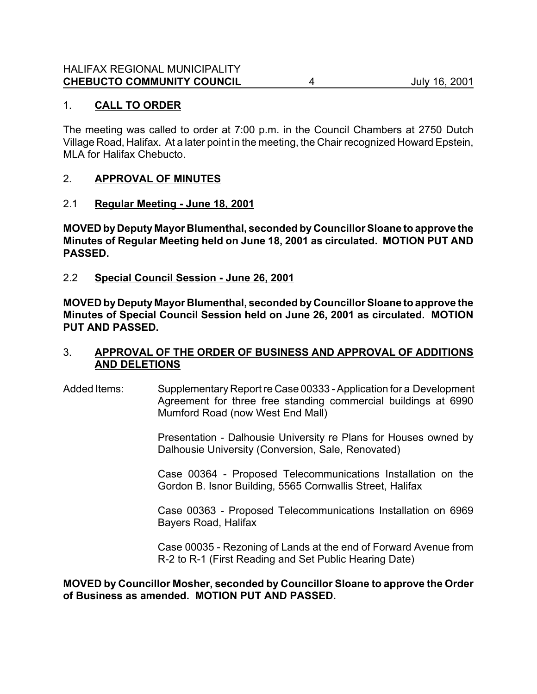## 1. **CALL TO ORDER**

The meeting was called to order at 7:00 p.m. in the Council Chambers at 2750 Dutch Village Road, Halifax.At a later point in the meeting, the Chair recognized Howard Epstein, MLA for Halifax Chebucto.

# 2. **APPROVAL OF MINUTES**

### 2.1 **Regular Meeting - June 18, 2001**

**MOVED by Deputy Mayor Blumenthal, seconded by Councillor Sloane to approve the Minutes of Regular Meeting held on June 18, 2001 as circulated. MOTION PUT AND PASSED.**

2.2 **Special Council Session - June 26, 2001**

**MOVED by Deputy Mayor Blumenthal, seconded by Councillor Sloane to approve the Minutes of Special Council Session held on June 26, 2001 as circulated. MOTION PUT AND PASSED.**

# 3. **APPROVAL OF THE ORDER OF BUSINESS AND APPROVAL OF ADDITIONS AND DELETIONS**

Added Items: Supplementary Report re Case 00333 - Application for a Development Agreement for three free standing commercial buildings at 6990 Mumford Road (now West End Mall)

> Presentation - Dalhousie University re Plans for Houses owned by Dalhousie University (Conversion, Sale, Renovated)

> Case 00364 - Proposed Telecommunications Installation on the Gordon B. Isnor Building, 5565 Cornwallis Street, Halifax

> Case 00363 - Proposed Telecommunications Installation on 6969 Bayers Road, Halifax

> Case 00035 - Rezoning of Lands at the end of Forward Avenue from R-2 to R-1 (First Reading and Set Public Hearing Date)

**MOVED by Councillor Mosher, seconded by Councillor Sloane to approve the Order of Business as amended. MOTION PUT AND PASSED.**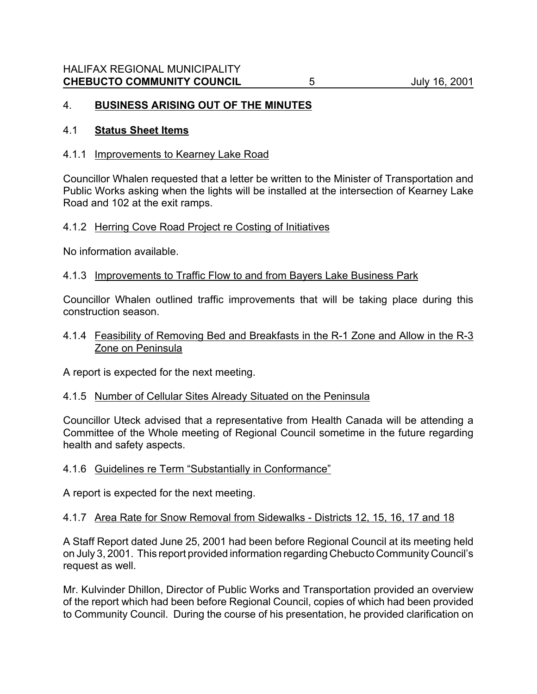# 4. **BUSINESS ARISING OUT OF THE MINUTES**

#### 4.1 **Status Sheet Items**

#### 4.1.1 Improvements to Kearney Lake Road

Councillor Whalen requested that a letter be written to the Minister of Transportation and Public Works asking when the lights will be installed at the intersection of Kearney Lake Road and 102 at the exit ramps.

#### 4.1.2 Herring Cove Road Project re Costing of Initiatives

No information available.

#### 4.1.3 Improvements to Traffic Flow to and from Bayers Lake Business Park

Councillor Whalen outlined traffic improvements that will be taking place during this construction season.

#### 4.1.4 Feasibility of Removing Bed and Breakfasts in the R-1 Zone and Allow in the R-3 Zone on Peninsula

A report is expected for the next meeting.

### 4.1.5 Number of Cellular Sites Already Situated on the Peninsula

Councillor Uteck advised that a representative from Health Canada will be attending a Committee of the Whole meeting of Regional Council sometime in the future regarding health and safety aspects.

### 4.1.6 Guidelines re Term "Substantially in Conformance"

A report is expected for the next meeting.

### 4.1.7 Area Rate for Snow Removal from Sidewalks - Districts 12, 15, 16, 17 and 18

A Staff Report dated June 25, 2001 had been before Regional Council at its meeting held on July 3, 2001. This report provided information regarding Chebucto Community Council's request as well.

Mr. Kulvinder Dhillon, Director of Public Works and Transportation provided an overview of the report which had been before Regional Council, copies of which had been provided to Community Council. During the course of his presentation, he provided clarification on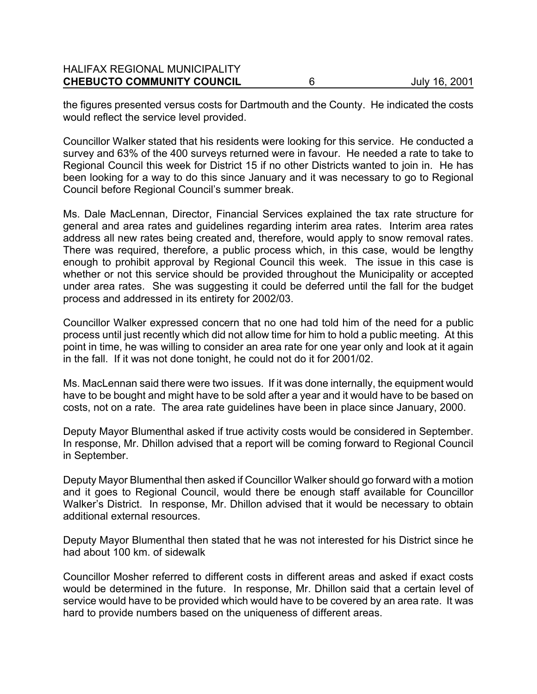#### HALIFAX REGIONAL MUNICIPALITY **CHEBUCTO COMMUNITY COUNCIL** 6 July 16, 2001

the figures presented versus costs for Dartmouth and the County. He indicated the costs would reflect the service level provided.

Councillor Walker stated that his residents were looking for this service. He conducted a survey and 63% of the 400 surveys returned were in favour. He needed a rate to take to Regional Council this week for District 15 if no other Districts wanted to join in. He has been looking for a way to do this since January and it was necessary to go to Regional Council before Regional Council's summer break.

Ms. Dale MacLennan, Director, Financial Services explained the tax rate structure for general and area rates and guidelines regarding interim area rates. Interim area rates address all new rates being created and, therefore, would apply to snow removal rates. There was required, therefore, a public process which, in this case, would be lengthy enough to prohibit approval by Regional Council this week. The issue in this case is whether or not this service should be provided throughout the Municipality or accepted under area rates. She was suggesting it could be deferred until the fall for the budget process and addressed in its entirety for 2002/03.

Councillor Walker expressed concern that no one had told him of the need for a public process until just recently which did not allow time for him to hold a public meeting. At this point in time, he was willing to consider an area rate for one year only and look at it again in the fall. If it was not done tonight, he could not do it for 2001/02.

Ms. MacLennan said there were two issues. If it was done internally, the equipment would have to be bought and might have to be sold after a year and it would have to be based on costs, not on a rate. The area rate guidelines have been in place since January, 2000.

Deputy Mayor Blumenthal asked if true activity costs would be considered in September. In response, Mr. Dhillon advised that a report will be coming forward to Regional Council in September.

Deputy Mayor Blumenthal then asked if Councillor Walker should go forward with a motion and it goes to Regional Council, would there be enough staff available for Councillor Walker's District. In response, Mr. Dhillon advised that it would be necessary to obtain additional external resources.

Deputy Mayor Blumenthal then stated that he was not interested for his District since he had about 100 km. of sidewalk

Councillor Mosher referred to different costs in different areas and asked if exact costs would be determined in the future. In response, Mr. Dhillon said that a certain level of service would have to be provided which would have to be covered by an area rate. It was hard to provide numbers based on the uniqueness of different areas.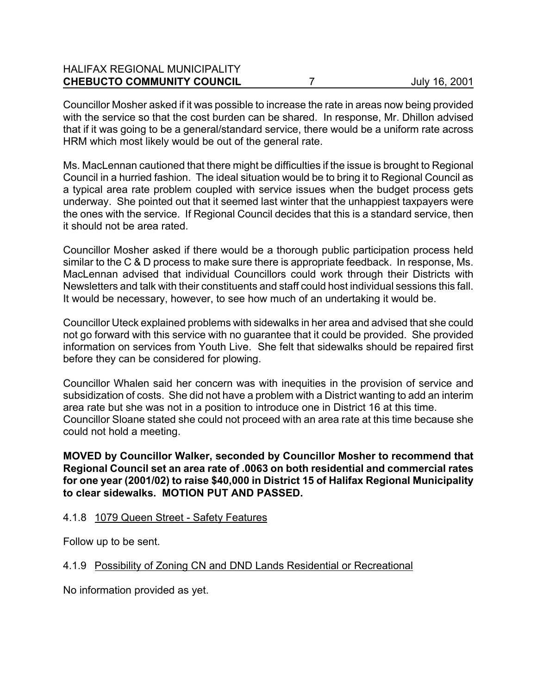| <b>HALIFAX REGIONAL MUNICIPALITY</b> |               |
|--------------------------------------|---------------|
| <b>CHEBUCTO COMMUNITY COUNCIL</b>    | July 16, 2001 |
|                                      |               |

Councillor Mosher asked if it was possible to increase the rate in areas now being provided with the service so that the cost burden can be shared. In response, Mr. Dhillon advised that if it was going to be a general/standard service, there would be a uniform rate across HRM which most likely would be out of the general rate.

Ms. MacLennan cautioned that there might be difficulties if the issue is brought to Regional Council in a hurried fashion. The ideal situation would be to bring it to Regional Council as a typical area rate problem coupled with service issues when the budget process gets underway. She pointed out that it seemed last winter that the unhappiest taxpayers were the ones with the service. If Regional Council decides that this is a standard service, then it should not be area rated.

Councillor Mosher asked if there would be a thorough public participation process held similar to the C & D process to make sure there is appropriate feedback. In response, Ms. MacLennan advised that individual Councillors could work through their Districts with Newsletters and talk with their constituents and staff could host individual sessions this fall. It would be necessary, however, to see how much of an undertaking it would be.

Councillor Uteck explained problems with sidewalks in her area and advised that she could not go forward with this service with no guarantee that it could be provided. She provided information on services from Youth Live. She felt that sidewalks should be repaired first before they can be considered for plowing.

Councillor Whalen said her concern was with inequities in the provision of service and subsidization of costs. She did not have a problem with a District wanting to add an interim area rate but she was not in a position to introduce one in District 16 at this time. Councillor Sloane stated she could not proceed with an area rate at this time because she could not hold a meeting.

**MOVED by Councillor Walker, seconded by Councillor Mosher to recommend that Regional Council set an area rate of .0063 on both residential and commercial rates for one year (2001/02) to raise \$40,000 in District 15 of Halifax Regional Municipality to clear sidewalks. MOTION PUT AND PASSED.**

### 4.1.8 1079 Queen Street - Safety Features

Follow up to be sent.

# 4.1.9 Possibility of Zoning CN and DND Lands Residential or Recreational

No information provided as yet.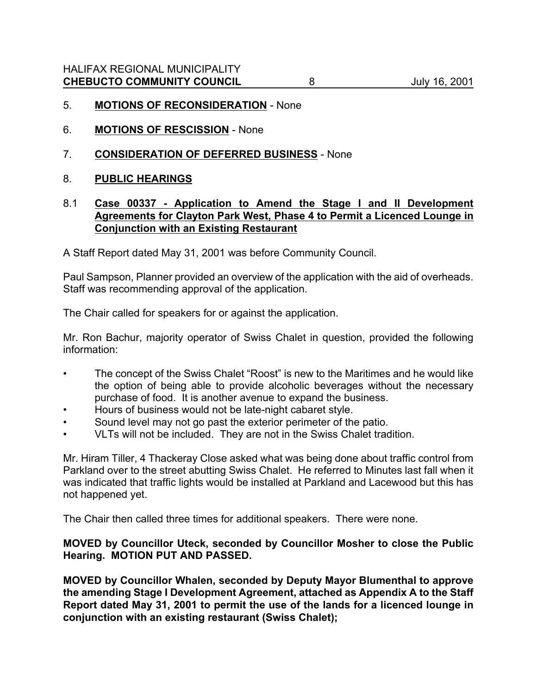- 5. **MOTIONS OF RECONSIDERATION** None
- 6. **MOTIONS OF RESCISSION** None
- 7. **CONSIDERATION OF DEFERRED BUSINESS** None
- 8. **PUBLIC HEARINGS**

# 8.1 **Case 00337 - Application to Amend the Stage I and II Development Agreements for Clayton Park West, Phase 4 to Permit a Licenced Lounge in Conjunction with an Existing Restaurant**

A Staff Report dated May 31, 2001 was before Community Council.

Paul Sampson, Planner provided an overview of the application with the aid of overheads. Staff was recommending approval of the application.

The Chair called for speakers for or against the application.

Mr. Ron Bachur, majority operator of Swiss Chalet in question, provided the following information:

- The concept of the Swiss Chalet "Roost" is new to the Maritimes and he would like the option of being able to provide alcoholic beverages without the necessary purchase of food. It is another avenue to expand the business.
- Hours of business would not be late-night cabaret style.
- Sound level may not go past the exterior perimeter of the patio.
- VLTs will not be included. They are not in the Swiss Chalet tradition.

Mr. Hiram Tiller, 4 Thackeray Close asked what was being done about traffic control from Parkland over to the street abutting Swiss Chalet. He referred to Minutes last fall when it was indicated that traffic lights would be installed at Parkland and Lacewood but this has not happened yet.

The Chair then called three times for additional speakers. There were none.

### **MOVED by Councillor Uteck, seconded by Councillor Mosher to close the Public Hearing. MOTION PUT AND PASSED.**

**MOVED by Councillor Whalen, seconded by Deputy Mayor Blumenthal to approve the amending Stage I Development Agreement, attached as Appendix A to the Staff Report dated May 31, 2001 to permit the use of the lands for a licenced lounge in conjunction with an existing restaurant (Swiss Chalet);**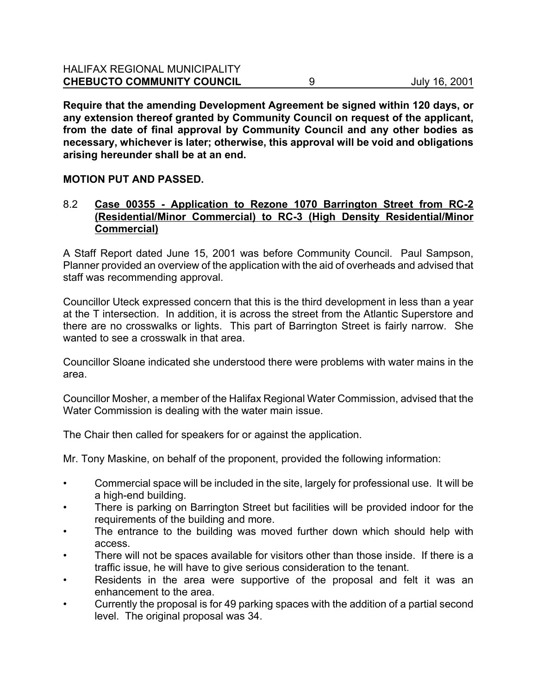**Require that the amending Development Agreement be signed within 120 days, or any extension thereof granted by Community Council on request of the applicant, from the date of final approval by Community Council and any other bodies as necessary, whichever is later; otherwise, this approval will be void and obligations arising hereunder shall be at an end.**

# **MOTION PUT AND PASSED.**

# 8.2 **Case 00355 - Application to Rezone 1070 Barrington Street from RC-2 (Residential/Minor Commercial) to RC-3 (High Density Residential/Minor Commercial)**

A Staff Report dated June 15, 2001 was before Community Council. Paul Sampson, Planner provided an overview of the application with the aid of overheads and advised that staff was recommending approval.

Councillor Uteck expressed concern that this is the third development in less than a year at the T intersection. In addition, it is across the street from the Atlantic Superstore and there are no crosswalks or lights. This part of Barrington Street is fairly narrow. She wanted to see a crosswalk in that area.

Councillor Sloane indicated she understood there were problems with water mains in the area.

Councillor Mosher, a member of the Halifax Regional Water Commission, advised that the Water Commission is dealing with the water main issue.

The Chair then called for speakers for or against the application.

Mr. Tony Maskine, on behalf of the proponent, provided the following information:

- Commercial space will be included in the site, largely for professional use. It will be a high-end building.
- There is parking on Barrington Street but facilities will be provided indoor for the requirements of the building and more.
- The entrance to the building was moved further down which should help with access.
- There will not be spaces available for visitors other than those inside. If there is a traffic issue, he will have to give serious consideration to the tenant.
- Residents in the area were supportive of the proposal and felt it was an enhancement to the area.
- Currently the proposal is for 49 parking spaces with the addition of a partial second level. The original proposal was 34.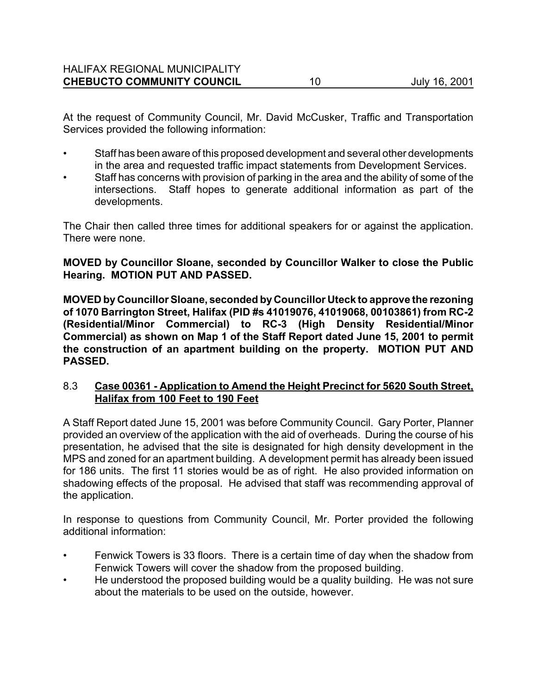At the request of Community Council, Mr. David McCusker, Traffic and Transportation Services provided the following information:

- Staff has been aware of this proposed development and several other developments in the area and requested traffic impact statements from Development Services.
- Staff has concerns with provision of parking in the area and the ability of some of the intersections. Staff hopes to generate additional information as part of the developments.

The Chair then called three times for additional speakers for or against the application. There were none.

**MOVED by Councillor Sloane, seconded by Councillor Walker to close the Public Hearing. MOTION PUT AND PASSED.**

**MOVED by Councillor Sloane, seconded by Councillor Uteck to approve the rezoning of 1070 Barrington Street, Halifax (PID #s 41019076, 41019068, 00103861) from RC-2 (Residential/Minor Commercial) to RC-3 (High Density Residential/Minor Commercial) as shown on Map 1 of the Staff Report dated June 15, 2001 to permit the construction of an apartment building on the property. MOTION PUT AND PASSED.** 

# 8.3 **Case 00361 - Application to Amend the Height Precinct for 5620 South Street, Halifax from 100 Feet to 190 Feet**

A Staff Report dated June 15, 2001 was before Community Council. Gary Porter, Planner provided an overview of the application with the aid of overheads. During the course of his presentation, he advised that the site is designated for high density development in the MPS and zoned for an apartment building. A development permit has already been issued for 186 units. The first 11 stories would be as of right. He also provided information on shadowing effects of the proposal. He advised that staff was recommending approval of the application.

In response to questions from Community Council, Mr. Porter provided the following additional information:

- Fenwick Towers is 33 floors. There is a certain time of day when the shadow from Fenwick Towers will cover the shadow from the proposed building.
- He understood the proposed building would be a quality building. He was not sure about the materials to be used on the outside, however.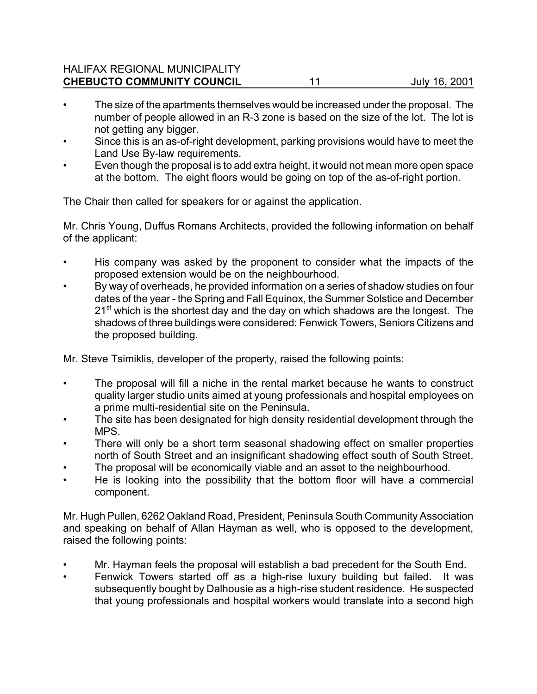#### HALIFAX REGIONAL MUNICIPALITY **CHEBUCTO COMMUNITY COUNCIL** 11 1 July 16, 2001

- The size of the apartments themselves would be increased under the proposal. The number of people allowed in an R-3 zone is based on the size of the lot. The lot is not getting any bigger.
- Since this is an as-of-right development, parking provisions would have to meet the Land Use By-law requirements.
- Even though the proposal is to add extra height, it would not mean more open space at the bottom. The eight floors would be going on top of the as-of-right portion.

The Chair then called for speakers for or against the application.

Mr. Chris Young, Duffus Romans Architects, provided the following information on behalf of the applicant:

- His company was asked by the proponent to consider what the impacts of the proposed extension would be on the neighbourhood.
- By way of overheads, he provided information on a series of shadow studies on four dates of the year - the Spring and Fall Equinox, the Summer Solstice and December  $21<sup>st</sup>$  which is the shortest day and the day on which shadows are the longest. The shadows of three buildings were considered: Fenwick Towers, Seniors Citizens and the proposed building.

Mr. Steve Tsimiklis, developer of the property, raised the following points:

- The proposal will fill a niche in the rental market because he wants to construct quality larger studio units aimed at young professionals and hospital employees on a prime multi-residential site on the Peninsula.
- The site has been designated for high density residential development through the MPS.
- There will only be a short term seasonal shadowing effect on smaller properties north of South Street and an insignificant shadowing effect south of South Street.
- The proposal will be economically viable and an asset to the neighbourhood.
- He is looking into the possibility that the bottom floor will have a commercial component.

Mr. Hugh Pullen, 6262 Oakland Road, President, Peninsula South Community Association and speaking on behalf of Allan Hayman as well, who is opposed to the development, raised the following points:

- Mr. Hayman feels the proposal will establish a bad precedent for the South End.
- Fenwick Towers started off as a high-rise luxury building but failed. It was subsequently bought by Dalhousie as a high-rise student residence. He suspected that young professionals and hospital workers would translate into a second high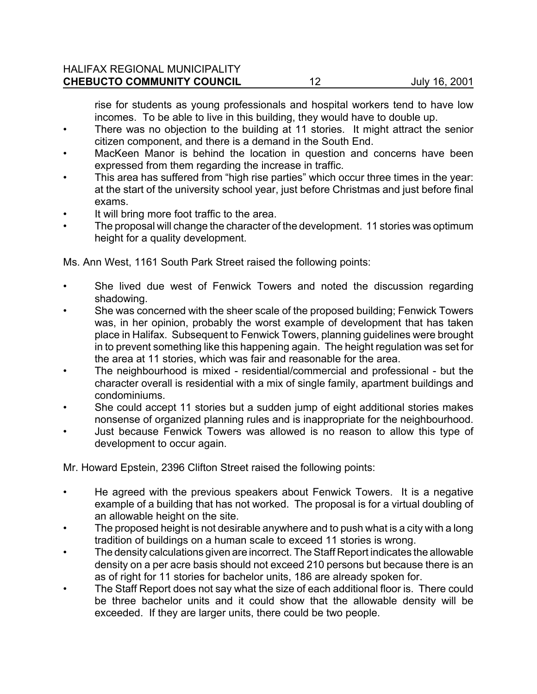#### HALIFAX REGIONAL MUNICIPALITY **CHEBUCTO COMMUNITY COUNCIL** 12 July 16, 2001

rise for students as young professionals and hospital workers tend to have low incomes. To be able to live in this building, they would have to double up.

- There was no objection to the building at 11 stories. It might attract the senior citizen component, and there is a demand in the South End.
- MacKeen Manor is behind the location in question and concerns have been expressed from them regarding the increase in traffic.
- This area has suffered from "high rise parties" which occur three times in the year: at the start of the university school year, just before Christmas and just before final exams.
- It will bring more foot traffic to the area.
- The proposal will change the character of the development. 11 stories was optimum height for a quality development.

Ms. Ann West, 1161 South Park Street raised the following points:

- She lived due west of Fenwick Towers and noted the discussion regarding shadowing.
- She was concerned with the sheer scale of the proposed building; Fenwick Towers was, in her opinion, probably the worst example of development that has taken place in Halifax. Subsequent to Fenwick Towers, planning guidelines were brought in to prevent something like this happening again. The height regulation was set for the area at 11 stories, which was fair and reasonable for the area.
- The neighbourhood is mixed residential/commercial and professional but the character overall is residential with a mix of single family, apartment buildings and condominiums.
- She could accept 11 stories but a sudden jump of eight additional stories makes nonsense of organized planning rules and is inappropriate for the neighbourhood.
- Just because Fenwick Towers was allowed is no reason to allow this type of development to occur again.

Mr. Howard Epstein, 2396 Clifton Street raised the following points:

- He agreed with the previous speakers about Fenwick Towers. It is a negative example of a building that has not worked. The proposal is for a virtual doubling of an allowable height on the site.
- The proposed height is not desirable anywhere and to push what is a city with a long tradition of buildings on a human scale to exceed 11 stories is wrong.
- The density calculations given are incorrect. The Staff Report indicates the allowable density on a per acre basis should not exceed 210 persons but because there is an as of right for 11 stories for bachelor units, 186 are already spoken for.
- The Staff Report does not say what the size of each additional floor is. There could be three bachelor units and it could show that the allowable density will be exceeded. If they are larger units, there could be two people.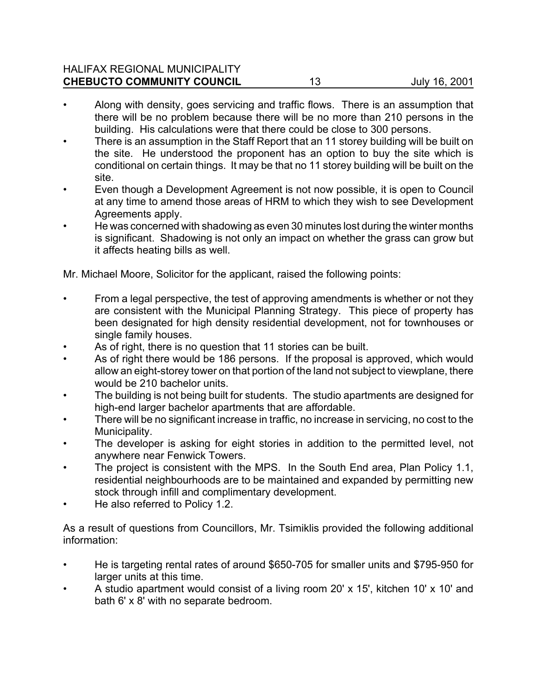#### HALIFAX REGIONAL MUNICIPALITY **CHEBUCTO COMMUNITY COUNCIL** 13 July 16, 2001

- Along with density, goes servicing and traffic flows. There is an assumption that there will be no problem because there will be no more than 210 persons in the building. His calculations were that there could be close to 300 persons.
- There is an assumption in the Staff Report that an 11 storey building will be built on the site. He understood the proponent has an option to buy the site which is conditional on certain things. It may be that no 11 storey building will be built on the site.
- Even though a Development Agreement is not now possible, it is open to Council at any time to amend those areas of HRM to which they wish to see Development Agreements apply.
- He was concerned with shadowing as even 30 minutes lost during the winter months is significant. Shadowing is not only an impact on whether the grass can grow but it affects heating bills as well.

Mr. Michael Moore, Solicitor for the applicant, raised the following points:

- From a legal perspective, the test of approving amendments is whether or not they are consistent with the Municipal Planning Strategy. This piece of property has been designated for high density residential development, not for townhouses or single family houses.
- As of right, there is no question that 11 stories can be built.
- As of right there would be 186 persons. If the proposal is approved, which would allow an eight-storey tower on that portion of the land not subject to viewplane, there would be 210 bachelor units.
- The building is not being built for students. The studio apartments are designed for high-end larger bachelor apartments that are affordable.
- There will be no significant increase in traffic, no increase in servicing, no cost to the Municipality.
- The developer is asking for eight stories in addition to the permitted level, not anywhere near Fenwick Towers.
- The project is consistent with the MPS. In the South End area, Plan Policy 1.1, residential neighbourhoods are to be maintained and expanded by permitting new stock through infill and complimentary development.
- He also referred to Policy 1.2.

As a result of questions from Councillors, Mr. Tsimiklis provided the following additional information:

- He is targeting rental rates of around \$650-705 for smaller units and \$795-950 for larger units at this time.
- A studio apartment would consist of a living room 20' x 15', kitchen 10' x 10' and bath 6' x 8' with no separate bedroom.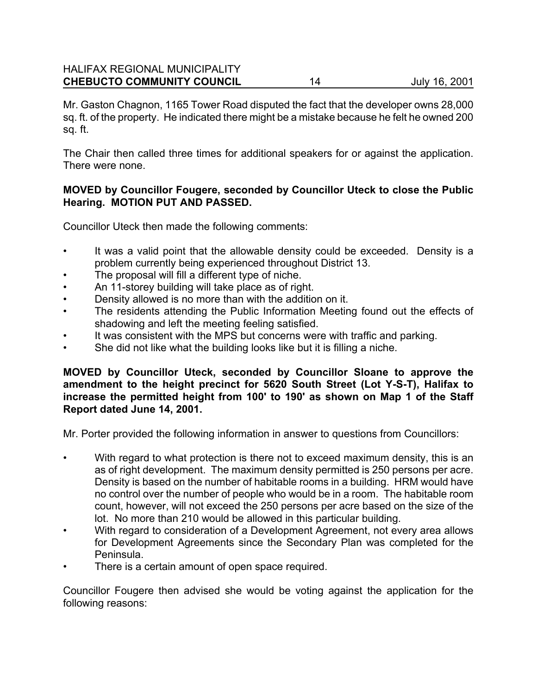# HALIFAX REGIONAL MUNICIPALITY **CHEBUCTO COMMUNITY COUNCIL** 14 July 16, 2001

Mr. Gaston Chagnon, 1165 Tower Road disputed the fact that the developer owns 28,000 sq. ft. of the property. He indicated there might be a mistake because he felt he owned 200 sq. ft.

The Chair then called three times for additional speakers for or against the application. There were none.

#### **MOVED by Councillor Fougere, seconded by Councillor Uteck to close the Public Hearing. MOTION PUT AND PASSED.**

Councillor Uteck then made the following comments:

- It was a valid point that the allowable density could be exceeded. Density is a problem currently being experienced throughout District 13.
- The proposal will fill a different type of niche.
- An 11-storey building will take place as of right.
- Density allowed is no more than with the addition on it.
- The residents attending the Public Information Meeting found out the effects of shadowing and left the meeting feeling satisfied.
- It was consistent with the MPS but concerns were with traffic and parking.
- She did not like what the building looks like but it is filling a niche.

#### **MOVED by Councillor Uteck, seconded by Councillor Sloane to approve the amendment to the height precinct for 5620 South Street (Lot Y-S-T), Halifax to increase the permitted height from 100' to 190' as shown on Map 1 of the Staff Report dated June 14, 2001.**

Mr. Porter provided the following information in answer to questions from Councillors:

- With regard to what protection is there not to exceed maximum density, this is an as of right development. The maximum density permitted is 250 persons per acre. Density is based on the number of habitable rooms in a building. HRM would have no control over the number of people who would be in a room. The habitable room count, however, will not exceed the 250 persons per acre based on the size of the lot. No more than 210 would be allowed in this particular building.
- With regard to consideration of a Development Agreement, not every area allows for Development Agreements since the Secondary Plan was completed for the Peninsula.
- There is a certain amount of open space required.

Councillor Fougere then advised she would be voting against the application for the following reasons: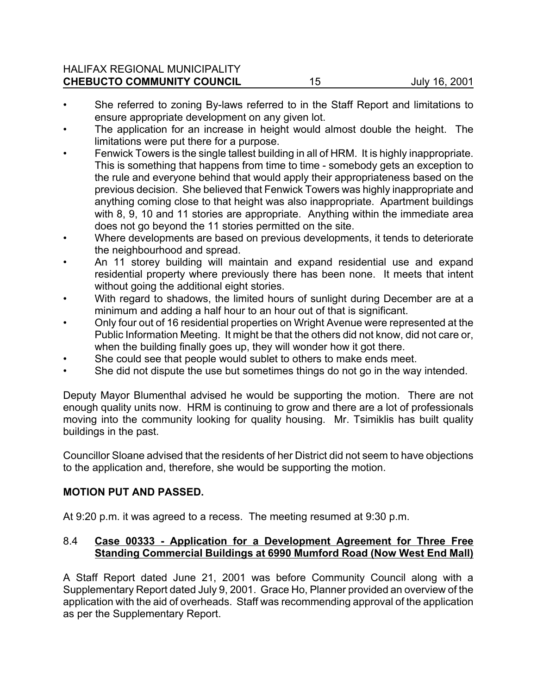### HALIFAX REGIONAL MUNICIPALITY **CHEBUCTO COMMUNITY COUNCIL** 15 July 16, 2001

- She referred to zoning By-laws referred to in the Staff Report and limitations to ensure appropriate development on any given lot.
- The application for an increase in height would almost double the height. The limitations were put there for a purpose.
- Fenwick Towers is the single tallest building in all of HRM. It is highly inappropriate. This is something that happens from time to time - somebody gets an exception to the rule and everyone behind that would apply their appropriateness based on the previous decision. She believed that Fenwick Towers was highly inappropriate and anything coming close to that height was also inappropriate. Apartment buildings with 8, 9, 10 and 11 stories are appropriate. Anything within the immediate area does not go beyond the 11 stories permitted on the site.
- Where developments are based on previous developments, it tends to deteriorate the neighbourhood and spread.
- An 11 storey building will maintain and expand residential use and expand residential property where previously there has been none. It meets that intent without going the additional eight stories.
- With regard to shadows, the limited hours of sunlight during December are at a minimum and adding a half hour to an hour out of that is significant.
- Only four out of 16 residential properties on Wright Avenue were represented at the Public Information Meeting. It might be that the others did not know, did not care or, when the building finally goes up, they will wonder how it got there.
- She could see that people would sublet to others to make ends meet.
- She did not dispute the use but sometimes things do not go in the way intended.

Deputy Mayor Blumenthal advised he would be supporting the motion. There are not enough quality units now. HRM is continuing to grow and there are a lot of professionals moving into the community looking for quality housing. Mr. Tsimiklis has built quality buildings in the past.

Councillor Sloane advised that the residents of her District did not seem to have objections to the application and, therefore, she would be supporting the motion.

### **MOTION PUT AND PASSED.**

At 9:20 p.m. it was agreed to a recess. The meeting resumed at 9:30 p.m.

# 8.4 **Case 00333 - Application for a Development Agreement for Three Free Standing Commercial Buildings at 6990 Mumford Road (Now West End Mall)**

A Staff Report dated June 21, 2001 was before Community Council along with a Supplementary Report dated July 9, 2001. Grace Ho, Planner provided an overview of the application with the aid of overheads. Staff was recommending approval of the application as per the Supplementary Report.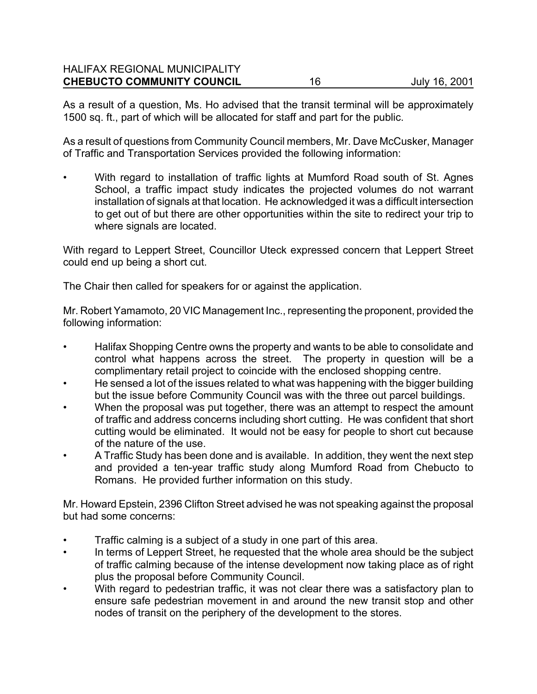As a result of a question, Ms. Ho advised that the transit terminal will be approximately 1500 sq. ft., part of which will be allocated for staff and part for the public.

As a result of questions from Community Council members, Mr. Dave McCusker, Manager of Traffic and Transportation Services provided the following information:

With regard to installation of traffic lights at Mumford Road south of St. Agnes School, a traffic impact study indicates the projected volumes do not warrant installation of signals at that location. He acknowledged it was a difficult intersection to get out of but there are other opportunities within the site to redirect your trip to where signals are located.

With regard to Leppert Street, Councillor Uteck expressed concern that Leppert Street could end up being a short cut.

The Chair then called for speakers for or against the application.

Mr. Robert Yamamoto, 20 VIC Management Inc., representing the proponent, provided the following information:

- Halifax Shopping Centre owns the property and wants to be able to consolidate and control what happens across the street. The property in question will be a complimentary retail project to coincide with the enclosed shopping centre.
- He sensed a lot of the issues related to what was happening with the bigger building but the issue before Community Council was with the three out parcel buildings.
- When the proposal was put together, there was an attempt to respect the amount of traffic and address concerns including short cutting. He was confident that short cutting would be eliminated. It would not be easy for people to short cut because of the nature of the use.
- A Traffic Study has been done and is available. In addition, they went the next step and provided a ten-year traffic study along Mumford Road from Chebucto to Romans. He provided further information on this study.

Mr. Howard Epstein, 2396 Clifton Street advised he was not speaking against the proposal but had some concerns:

- Traffic calming is a subject of a study in one part of this area.
- In terms of Leppert Street, he requested that the whole area should be the subject of traffic calming because of the intense development now taking place as of right plus the proposal before Community Council.
- With regard to pedestrian traffic, it was not clear there was a satisfactory plan to ensure safe pedestrian movement in and around the new transit stop and other nodes of transit on the periphery of the development to the stores.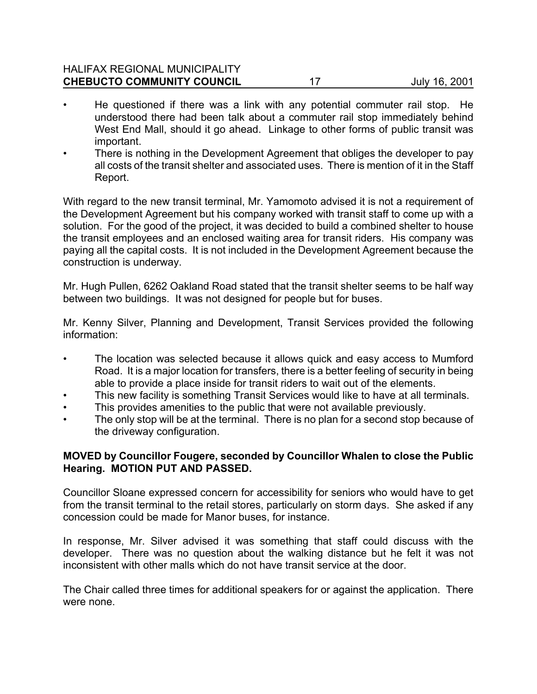#### HALIFAX REGIONAL MUNICIPALITY **CHEBUCTO COMMUNITY COUNCIL** 17 July 16, 2001

- He questioned if there was a link with any potential commuter rail stop. He understood there had been talk about a commuter rail stop immediately behind West End Mall, should it go ahead. Linkage to other forms of public transit was important.
- There is nothing in the Development Agreement that obliges the developer to pay all costs of the transit shelter and associated uses. There is mention of it in the Staff Report.

With regard to the new transit terminal, Mr. Yamomoto advised it is not a requirement of the Development Agreement but his company worked with transit staff to come up with a solution. For the good of the project, it was decided to build a combined shelter to house the transit employees and an enclosed waiting area for transit riders. His company was paying all the capital costs. It is not included in the Development Agreement because the construction is underway.

Mr. Hugh Pullen, 6262 Oakland Road stated that the transit shelter seems to be half way between two buildings. It was not designed for people but for buses.

Mr. Kenny Silver, Planning and Development, Transit Services provided the following information:

- The location was selected because it allows quick and easy access to Mumford Road. It is a major location for transfers, there is a better feeling of security in being able to provide a place inside for transit riders to wait out of the elements.
- This new facility is something Transit Services would like to have at all terminals.
- This provides amenities to the public that were not available previously.
- The only stop will be at the terminal. There is no plan for a second stop because of the driveway configuration.

### **MOVED by Councillor Fougere, seconded by Councillor Whalen to close the Public Hearing. MOTION PUT AND PASSED.**

Councillor Sloane expressed concern for accessibility for seniors who would have to get from the transit terminal to the retail stores, particularly on storm days. She asked if any concession could be made for Manor buses, for instance.

In response, Mr. Silver advised it was something that staff could discuss with the developer. There was no question about the walking distance but he felt it was not inconsistent with other malls which do not have transit service at the door.

The Chair called three times for additional speakers for or against the application. There were none.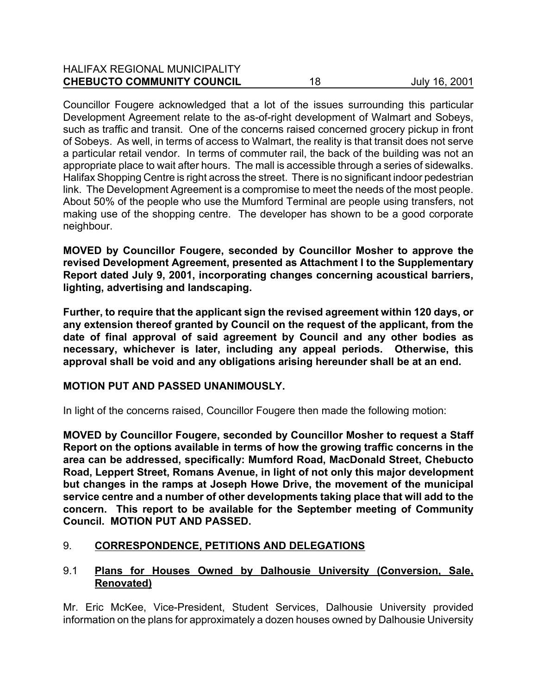#### HALIFAX REGIONAL MUNICIPALITY **CHEBUCTO COMMUNITY COUNCIL** 18 18 July 16, 2001

Councillor Fougere acknowledged that a lot of the issues surrounding this particular Development Agreement relate to the as-of-right development of Walmart and Sobeys, such as traffic and transit. One of the concerns raised concerned grocery pickup in front of Sobeys. As well, in terms of access to Walmart, the reality is that transit does not serve a particular retail vendor. In terms of commuter rail, the back of the building was not an appropriate place to wait after hours. The mall is accessible through a series of sidewalks. Halifax Shopping Centre is right across the street. There is no significant indoor pedestrian link. The Development Agreement is a compromise to meet the needs of the most people. About 50% of the people who use the Mumford Terminal are people using transfers, not making use of the shopping centre. The developer has shown to be a good corporate neighbour.

**MOVED by Councillor Fougere, seconded by Councillor Mosher to approve the revised Development Agreement, presented as Attachment I to the Supplementary Report dated July 9, 2001, incorporating changes concerning acoustical barriers, lighting, advertising and landscaping.**

**Further, to require that the applicant sign the revised agreement within 120 days, or any extension thereof granted by Council on the request of the applicant, from the date of final approval of said agreement by Council and any other bodies as necessary, whichever is later, including any appeal periods. Otherwise, this approval shall be void and any obligations arising hereunder shall be at an end.** 

# **MOTION PUT AND PASSED UNANIMOUSLY.**

In light of the concerns raised, Councillor Fougere then made the following motion:

**MOVED by Councillor Fougere, seconded by Councillor Mosher to request a Staff Report on the options available in terms of how the growing traffic concerns in the area can be addressed, specifically: Mumford Road, MacDonald Street, Chebucto Road, Leppert Street, Romans Avenue, in light of not only this major development but changes in the ramps at Joseph Howe Drive, the movement of the municipal service centre and a number of other developments taking place that will add to the concern. This report to be available for the September meeting of Community Council. MOTION PUT AND PASSED.**

# 9. **CORRESPONDENCE, PETITIONS AND DELEGATIONS**

# 9.1 **Plans for Houses Owned by Dalhousie University (Conversion, Sale, Renovated)**

Mr. Eric McKee, Vice-President, Student Services, Dalhousie University provided information on the plans for approximately a dozen houses owned by Dalhousie University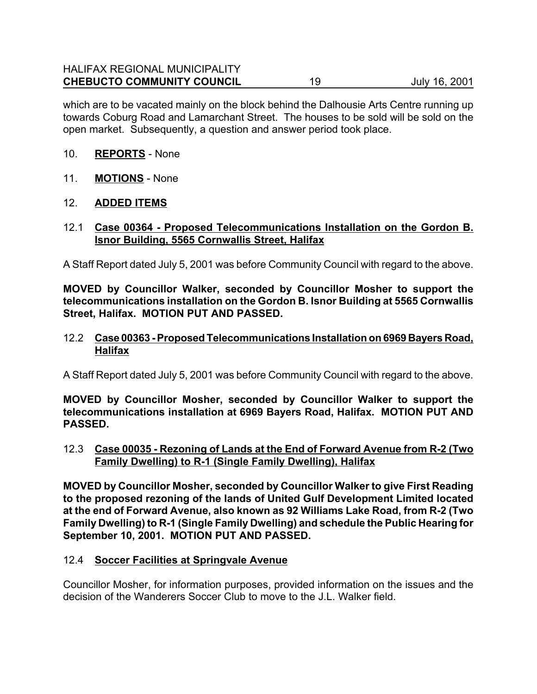which are to be vacated mainly on the block behind the Dalhousie Arts Centre running up towards Coburg Road and Lamarchant Street. The houses to be sold will be sold on the open market. Subsequently, a question and answer period took place.

### 10. **REPORTS** - None

- 11. **MOTIONS** None
- 12. **ADDED ITEMS**

#### 12.1 **Case 00364 - Proposed Telecommunications Installation on the Gordon B. Isnor Building, 5565 Cornwallis Street, Halifax**

A Staff Report dated July 5, 2001 was before Community Council with regard to the above.

**MOVED by Councillor Walker, seconded by Councillor Mosher to support the telecommunications installation on the Gordon B. Isnor Building at 5565 Cornwallis Street, Halifax. MOTION PUT AND PASSED.**

#### 12.2 **Case 00363 - Proposed Telecommunications Installation on 6969 Bayers Road, Halifax**

A Staff Report dated July 5, 2001 was before Community Council with regard to the above.

**MOVED by Councillor Mosher, seconded by Councillor Walker to support the telecommunications installation at 6969 Bayers Road, Halifax. MOTION PUT AND PASSED.**

12.3 **Case 00035 - Rezoning of Lands at the End of Forward Avenue from R-2 (Two Family Dwelling) to R-1 (Single Family Dwelling), Halifax**

**MOVED by Councillor Mosher, seconded by Councillor Walker to give First Reading to the proposed rezoning of the lands of United Gulf Development Limited located at the end of Forward Avenue, also known as 92 Williams Lake Road, from R-2 (Two Family Dwelling) to R-1 (Single Family Dwelling) and schedule the Public Hearing for September 10, 2001. MOTION PUT AND PASSED.**

#### 12.4 **Soccer Facilities at Springvale Avenue**

Councillor Mosher, for information purposes, provided information on the issues and the decision of the Wanderers Soccer Club to move to the J.L. Walker field.